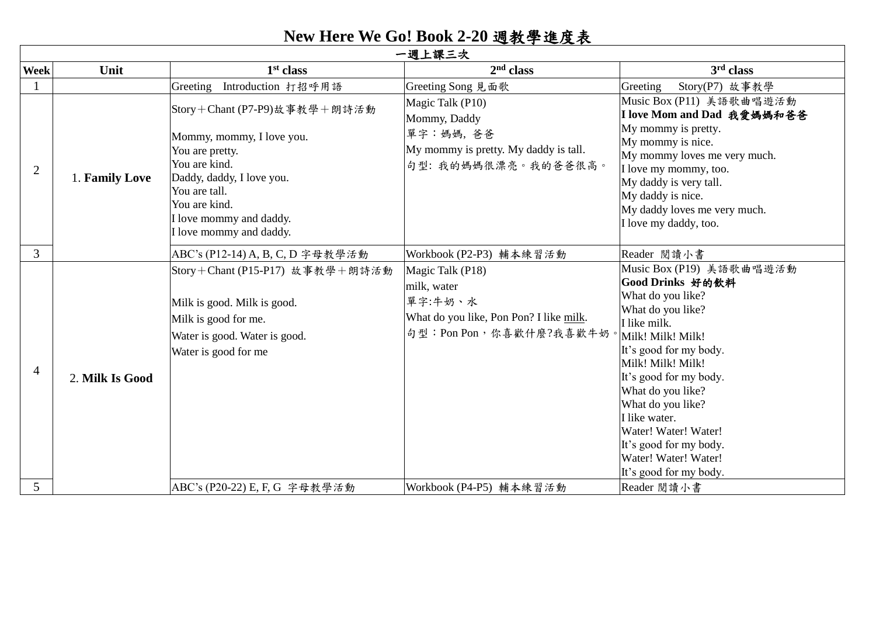## **New Here We Go! Book 2-20** 週教學進度表

|                | New Here We Go! Book 2-20 週教學進度表 |                                                                                                                                                                                                                    |                                                                                                                 |                                                                                                                                                                                                                                                                                                                                                                     |  |  |
|----------------|----------------------------------|--------------------------------------------------------------------------------------------------------------------------------------------------------------------------------------------------------------------|-----------------------------------------------------------------------------------------------------------------|---------------------------------------------------------------------------------------------------------------------------------------------------------------------------------------------------------------------------------------------------------------------------------------------------------------------------------------------------------------------|--|--|
|                |                                  |                                                                                                                                                                                                                    | 一週上課三次                                                                                                          |                                                                                                                                                                                                                                                                                                                                                                     |  |  |
| <b>Week</b>    | Unit                             | $1st$ class                                                                                                                                                                                                        | 2 <sup>nd</sup> class                                                                                           | $3rd$ class                                                                                                                                                                                                                                                                                                                                                         |  |  |
|                |                                  | Introduction 打招呼用語<br>Greeting                                                                                                                                                                                     | Greeting Song 見面歌                                                                                               | Greeting<br>Story(P7) 故事教學                                                                                                                                                                                                                                                                                                                                          |  |  |
| $\overline{2}$ | 1. Family Love                   | Story+Chant (P7-P9)故事教學+朗詩活動<br>Mommy, mommy, I love you.<br>You are pretty.<br>You are kind.<br>Daddy, daddy, I love you.<br>You are tall.<br>You are kind.<br>I love mommy and daddy.<br>I love mommy and daddy. | Magic Talk (P10)<br>Mommy, Daddy<br>單字:媽媽, 爸爸<br>My mommy is pretty. My daddy is tall.<br>句型: 我的媽媽很漂亮。我的爸爸很高。   | Music Box (P11) 美語歌曲唱遊活動<br>I love Mom and Dad 我愛媽媽和爸爸<br>My mommy is pretty.<br>My mommy is nice.<br>My mommy loves me very much.<br>I love my mommy, too.<br>My daddy is very tall.<br>My daddy is nice.<br>My daddy loves me very much.<br>I love my daddy, too.                                                                                                 |  |  |
| 3              |                                  | ABC's (P12-14) A, B, C, D 字母教學活動                                                                                                                                                                                   | Workbook (P2-P3) 輔本練習活動                                                                                         | Reader 閱讀小書                                                                                                                                                                                                                                                                                                                                                         |  |  |
| $\overline{4}$ | 2. Milk Is Good                  | Story+Chant (P15-P17) 故事教學+朗詩活動<br>Milk is good. Milk is good.<br>Milk is good for me.<br>Water is good. Water is good.<br>Water is good for me                                                                    | Magic Talk (P18)<br>milk, water<br>單字:牛奶、水<br>What do you like, Pon Pon? I like milk.<br>句型:Pon Pon,你喜歡什麼?我喜歡牛奶 | Music Box (P19) 美語歌曲唱遊活動<br>Good Drinks 好的飲料<br>What do you like?<br>What do you like?<br>I like milk.<br>Milk! Milk! Milk!<br>It's good for my body.<br>Milk! Milk! Milk!<br>It's good for my body.<br>What do you like?<br>What do you like?<br>I like water.<br>Water! Water! Water!<br>It's good for my body.<br>Water! Water! Water!<br>It's good for my body. |  |  |
| 5 <sup>5</sup> |                                  | ABC's (P20-22) E, F, G 字母教學活動                                                                                                                                                                                      | Workbook (P4-P5) 輔本練習活動                                                                                         | Reader 閲讀小書                                                                                                                                                                                                                                                                                                                                                         |  |  |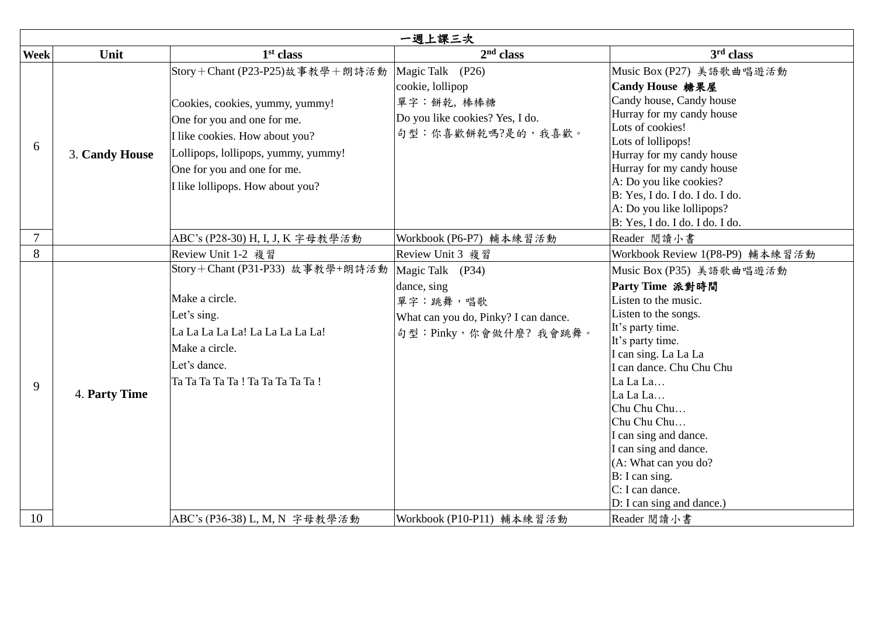|                | 一週上課三次         |                                                                                                                                                                                                                                              |                                                                                                             |                                                                                                                                                                                                                                                                                                                                                                                           |  |
|----------------|----------------|----------------------------------------------------------------------------------------------------------------------------------------------------------------------------------------------------------------------------------------------|-------------------------------------------------------------------------------------------------------------|-------------------------------------------------------------------------------------------------------------------------------------------------------------------------------------------------------------------------------------------------------------------------------------------------------------------------------------------------------------------------------------------|--|
| Week           | Unit           | 1 <sup>st</sup> class                                                                                                                                                                                                                        | $2nd$ class                                                                                                 | 3 <sup>rd</sup> class                                                                                                                                                                                                                                                                                                                                                                     |  |
| 6              | 3. Candy House | Story+Chant (P23-P25)故事教學+朗詩活動<br>Cookies, cookies, yummy, yummy!<br>One for you and one for me.<br>I like cookies. How about you?<br>Lollipops, lollipops, yummy, yummy!<br>One for you and one for me.<br>I like lollipops. How about you? | Magic Talk (P26)<br>cookie, lollipop<br>單字:餅乾,棒棒糖<br>Do you like cookies? Yes, I do.<br>句型:你喜歡餅乾嗎?是的,我喜歡。   | Music Box (P27) 美語歌曲唱遊活動<br>Candy House 糖果屋<br>Candy house, Candy house<br>Hurray for my candy house<br>Lots of cookies!<br>Lots of lollipops!<br>Hurray for my candy house<br>Hurray for my candy house<br>A: Do you like cookies?<br>B: Yes, I do. I do. I do. I do.<br>A: Do you like lollipops?<br>B: Yes, I do. I do. I do. I do.                                                    |  |
| $\overline{7}$ |                | ABC's (P28-30) H, I, J, K 字母教學活動                                                                                                                                                                                                             | Workbook (P6-P7) 輔本練習活動                                                                                     | Reader 閲讀小書                                                                                                                                                                                                                                                                                                                                                                               |  |
| 8              |                | Review Unit 1-2 複習                                                                                                                                                                                                                           | Review Unit 3 複習                                                                                            | Workbook Review 1(P8-P9) 輔本練習活動                                                                                                                                                                                                                                                                                                                                                           |  |
| 9              | 4. Party Time  | Story+Chant (P31-P33) 故事教學+朗詩活動<br>Make a circle.<br>Let's sing.<br>La La La La La! La La La La La!<br>Make a circle.<br>Let's dance.<br>Ta Ta Ta Ta Ta ! Ta Ta Ta Ta Ta !                                                                   | Magic Talk (P34)<br>dance, sing<br>單字:跳舞,唱歌<br>What can you do, Pinky? I can dance.<br>句型:Pinky,你會做什麼?我會跳舞。 | Music Box (P35) 美語歌曲唱遊活動<br>Party Time 派對時間<br>Listen to the music.<br>Listen to the songs.<br>It's party time.<br>It's party time.<br>I can sing. La La La<br>I can dance. Chu Chu Chu<br>La La La<br>La La La<br>Chu Chu Chu<br>Chu Chu Chu<br>I can sing and dance.<br>I can sing and dance.<br>(A: What can you do?<br>B: I can sing.<br>C: I can dance.<br>D: I can sing and dance.) |  |
| 10             |                | ABC's (P36-38) L, M, N 字母教學活動                                                                                                                                                                                                                | Workbook (P10-P11) 輔本練習活動                                                                                   | Reader 閱讀小書                                                                                                                                                                                                                                                                                                                                                                               |  |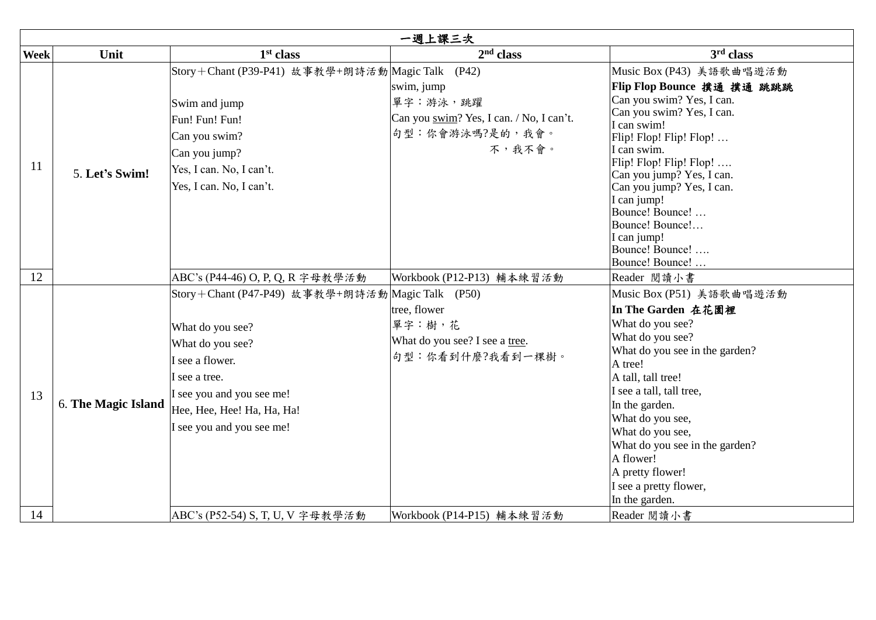|               | 一週上課三次              |                                                                                                                                                                                                                      |                                                                                                 |                                                                                                                                                                                                                                                                                                                                                                          |  |  |
|---------------|---------------------|----------------------------------------------------------------------------------------------------------------------------------------------------------------------------------------------------------------------|-------------------------------------------------------------------------------------------------|--------------------------------------------------------------------------------------------------------------------------------------------------------------------------------------------------------------------------------------------------------------------------------------------------------------------------------------------------------------------------|--|--|
| <b>Week</b>   | Unit                | 1 <sup>st</sup> class                                                                                                                                                                                                | 2 <sup>nd</sup> class                                                                           | 3rd class                                                                                                                                                                                                                                                                                                                                                                |  |  |
| <sup>11</sup> | 5. Let's Swim!      | Story+Chant (P39-P41) 故事教學+朗詩活動 Magic Talk (P42)<br>Swim and jump<br>Fun! Fun! Fun!<br>Can you swim?<br>Can you jump?<br>Yes, I can. No, I can't.<br>Yes, I can. No, I can't.                                        | swim, jump<br>單字:游泳,跳躍<br>Can you swim? Yes, I can. / No, I can't.<br>句型:你會游泳嗎?是的,我會。<br>不,我不會。 | Music Box (P43) 美語歌曲唱遊活動<br>Flip Flop Bounce 撲通 撲通 跳跳跳<br>Can you swim? Yes, I can.<br>Can you swim? Yes, I can.<br>I can swim!<br>Flip! Flop! Flip! Flop!<br>I can swim.<br>Flip! Flop! Flip! Flop!<br>Can you jump? Yes, I can.<br>Can you jump? Yes, I can.<br>I can jump!<br>Bounce! Bounce!<br>Bounce! Bounce!<br>I can jump!<br>Bounce! Bounce!<br>Bounce! Bounce! |  |  |
| 12            |                     | ABC's (P44-46) O, P, Q, R 字母教學活動                                                                                                                                                                                     | Workbook (P12-P13) 輔本練習活動                                                                       | Reader 閲讀小書                                                                                                                                                                                                                                                                                                                                                              |  |  |
| 13            | 6. The Magic Island | Story+Chant (P47-P49) 故事教學+朗詩活動 Magic Talk (P50)<br>What do you see?<br>What do you see?<br>I see a flower.<br>I see a tree.<br>I see you and you see me!<br>Hee, Hee, Hee! Ha, Ha, Ha!<br>I see you and you see me! | tree, flower<br>單字:樹,花<br>What do you see? I see a tree.<br>句型:你看到什麼?我看到一棵樹。                    | Music Box (P51) 美語歌曲唱遊活動<br>In The Garden 在花園裡<br>What do you see?<br>What do you see?<br>What do you see in the garden?<br>A tree!<br>A tall, tall tree!<br>I see a tall, tall tree,<br>In the garden.<br>What do you see,<br>What do you see,<br>What do you see in the garden?<br>A flower!<br>A pretty flower!<br>I see a pretty flower,<br>In the garden.           |  |  |
| 14            |                     | ABC's (P52-54) S, T, U, V 字母教學活動                                                                                                                                                                                     | Workbook (P14-P15) 輔本練習活動                                                                       | Reader 閲讀小書                                                                                                                                                                                                                                                                                                                                                              |  |  |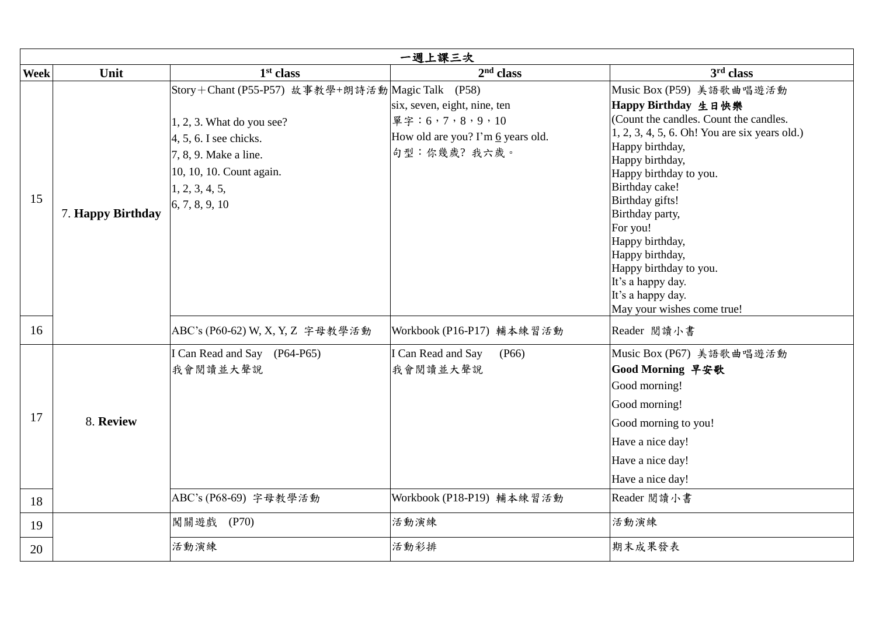|             | 一週上課三次            |                                                                                                                                                                                                  |                                                                                                        |                                                                                                                                                                                                                                                                                                                                                                                                                        |  |  |
|-------------|-------------------|--------------------------------------------------------------------------------------------------------------------------------------------------------------------------------------------------|--------------------------------------------------------------------------------------------------------|------------------------------------------------------------------------------------------------------------------------------------------------------------------------------------------------------------------------------------------------------------------------------------------------------------------------------------------------------------------------------------------------------------------------|--|--|
| <b>Week</b> | Unit              | 1 <sup>st</sup> class                                                                                                                                                                            | $2nd$ class                                                                                            | $3rd$ class                                                                                                                                                                                                                                                                                                                                                                                                            |  |  |
| 15          | 7. Happy Birthday | Story+Chant (P55-P57) 故事教學+朗詩活動 Magic Talk (P58)<br>1, 2, 3. What do you see?<br>4, 5, 6. I see chicks.<br>7, 8, 9. Make a line.<br>10, 10, 10. Count again.<br>1, 2, 3, 4, 5,<br>6, 7, 8, 9, 10 | six, seven, eight, nine, ten<br>單字: 6, 7, 8, 9, 10<br>How old are you? I'm 6 years old.<br>句型:你幾歲?我六歲。 | Music Box (P59) 美語歌曲唱遊活動<br>Happy Birthday 生日快樂<br>(Count the candles. Count the candles.<br>1, 2, 3, 4, 5, 6. Oh! You are six years old.)<br>Happy birthday,<br>Happy birthday,<br>Happy birthday to you.<br>Birthday cake!<br>Birthday gifts!<br>Birthday party,<br>For you!<br>Happy birthday,<br>Happy birthday,<br>Happy birthday to you.<br>It's a happy day.<br>It's a happy day.<br>May your wishes come true! |  |  |
| 16          |                   | ABC's (P60-62) W, X, Y, Z 字母教學活動                                                                                                                                                                 | Workbook (P16-P17) 輔本練習活動                                                                              | Reader 閱讀小書                                                                                                                                                                                                                                                                                                                                                                                                            |  |  |
| 17          | 8. Review         | I Can Read and Say (P64-P65)<br>我會閱讀並大聲說                                                                                                                                                         | I Can Read and Say<br>(P66)<br>我會閱讀並大聲說                                                                | Music Box (P67) 美語歌曲唱遊活動<br>Good Morning 早安歌<br>Good morning!<br>Good morning!<br>Good morning to you!<br>Have a nice day!<br>Have a nice day!<br>Have a nice day!                                                                                                                                                                                                                                                     |  |  |
| 18          |                   | ABC's (P68-69) 字母教學活動                                                                                                                                                                            | Workbook (P18-P19) 輔本練習活動                                                                              | Reader 閱讀小書                                                                                                                                                                                                                                                                                                                                                                                                            |  |  |
| 19          |                   | 闖關遊戲<br>(P70)                                                                                                                                                                                    | 活動演練                                                                                                   | 活動演練                                                                                                                                                                                                                                                                                                                                                                                                                   |  |  |
| 20          |                   | 活動演練                                                                                                                                                                                             | 活動彩排                                                                                                   | 期末成果發表                                                                                                                                                                                                                                                                                                                                                                                                                 |  |  |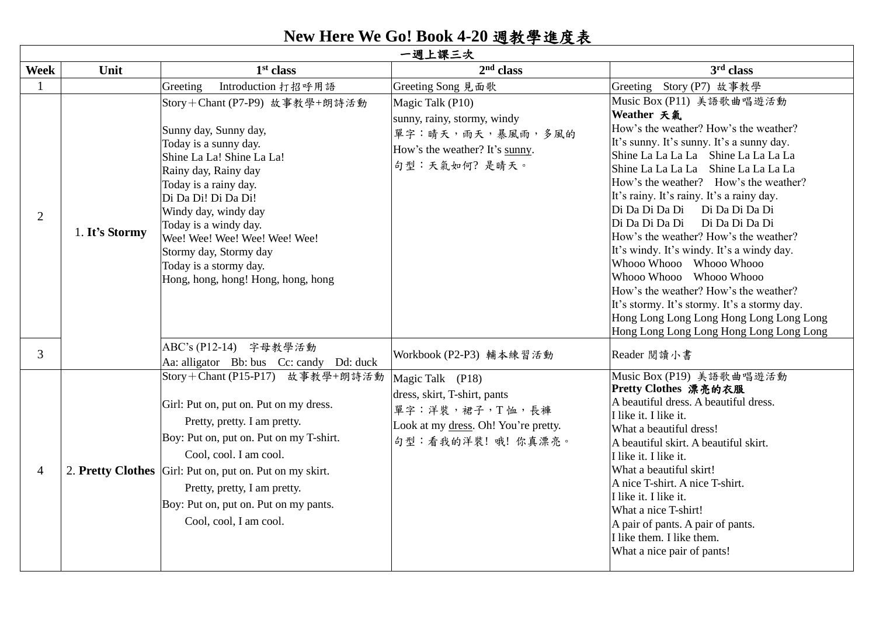|                                | New Here We Go! Book 4-20 週教學進度表 |                                                                                                                                                                                                                                                                                                                                                                                                    |                                                                                                                                            |                                                                                                                                                                                                                                                                                                                                                                                                                                                                                                                                                                                                                                                                                                                              |  |  |  |
|--------------------------------|----------------------------------|----------------------------------------------------------------------------------------------------------------------------------------------------------------------------------------------------------------------------------------------------------------------------------------------------------------------------------------------------------------------------------------------------|--------------------------------------------------------------------------------------------------------------------------------------------|------------------------------------------------------------------------------------------------------------------------------------------------------------------------------------------------------------------------------------------------------------------------------------------------------------------------------------------------------------------------------------------------------------------------------------------------------------------------------------------------------------------------------------------------------------------------------------------------------------------------------------------------------------------------------------------------------------------------------|--|--|--|
|                                |                                  |                                                                                                                                                                                                                                                                                                                                                                                                    | 一週上課三次                                                                                                                                     |                                                                                                                                                                                                                                                                                                                                                                                                                                                                                                                                                                                                                                                                                                                              |  |  |  |
| <b>Week</b>                    | Unit                             | 1 <sup>st</sup> class                                                                                                                                                                                                                                                                                                                                                                              | 2 <sup>nd</sup> class                                                                                                                      | 3 <sup>rd</sup> class                                                                                                                                                                                                                                                                                                                                                                                                                                                                                                                                                                                                                                                                                                        |  |  |  |
| $\mathbf{1}$<br>$\overline{2}$ | 1. It's Stormy                   | Introduction 打招呼用語<br>Greeting<br>Story+Chant (P7-P9) 故事教學+朗詩活動<br>Sunny day, Sunny day,<br>Today is a sunny day.<br>Shine La La! Shine La La!<br>Rainy day, Rainy day<br>Today is a rainy day.<br>Di Da Di! Di Da Di!<br>Windy day, windy day<br>Today is a windy day.<br>Wee! Wee! Wee! Wee! Wee! Wee!<br>Stormy day, Stormy day<br>Today is a stormy day.<br>Hong, hong, hong! Hong, hong, hong | Greeting Song 見面歌<br>Magic Talk (P10)<br>sunny, rainy, stormy, windy<br>單字:晴天,雨天,暴風雨,多風的<br>How's the weather? It's sunny.<br>句型:天氣如何?是晴天。 | Greeting Story (P7) 故事教學<br>Music Box (P11) 美語歌曲唱遊活動<br>Weather 天氣<br>How's the weather? How's the weather?<br>It's sunny. It's sunny. It's a sunny day.<br>Shine La La La La Shine La La La La<br>Shine La La La La Shine La La La La<br>How's the weather? How's the weather?<br>It's rainy. It's rainy. It's a rainy day.<br>Di Da Di Da Di Di Da Di Da Di<br>Di Da Di Da Di<br>Di Da Di Da Di<br>How's the weather? How's the weather?<br>It's windy. It's windy. It's a windy day.<br>Whooo Whooo Whooo Whooo<br>Whooo Whooo Whooo Whooo<br>How's the weather? How's the weather?<br>It's stormy. It's stormy. It's a stormy day.<br>Hong Long Long Long Hong Long Long Long<br>Hong Long Long Long Hong Long Long Long |  |  |  |
| $\overline{3}$                 |                                  | ABC's (P12-14) 字母教學活動<br>Aa: alligator Bb: bus Cc: candy Dd: duck                                                                                                                                                                                                                                                                                                                                  | Workbook (P2-P3) 輔本練習活動                                                                                                                    | Reader 閲讀小書                                                                                                                                                                                                                                                                                                                                                                                                                                                                                                                                                                                                                                                                                                                  |  |  |  |
| $\overline{4}$                 |                                  | Story+Chant (P15-P17) 故事教學+朗詩活動<br>Girl: Put on, put on. Put on my dress.<br>Pretty, pretty. I am pretty.<br>Boy: Put on, put on. Put on my T-shirt.<br>Cool, cool. I am cool.<br>2. Pretty Clothes Girl: Put on, put on. Put on my skirt.<br>Pretty, pretty, I am pretty.<br>Boy: Put on, put on. Put on my pants.<br>Cool, cool, I am cool.                                                      | Magic Talk (P18)<br>dress, skirt, T-shirt, pants<br>單字:洋裝,裙子,T恤,長褲<br>Look at my dress. Oh! You're pretty.<br>句型:看我的洋裝!哦!你真漂亮。             | Music Box (P19) 美語歌曲唱遊活動<br>Pretty Clothes 漂亮的衣服<br>A beautiful dress. A beautiful dress.<br>I like it. I like it.<br>What a beautiful dress!<br>A beautiful skirt. A beautiful skirt.<br>I like it. I like it.<br>What a beautiful skirt!<br>A nice T-shirt. A nice T-shirt.<br>I like it. I like it.<br>What a nice T-shirt!<br>A pair of pants. A pair of pants.<br>I like them. I like them.<br>What a nice pair of pants!                                                                                                                                                                                                                                                                                               |  |  |  |

## **New Here We Go! Book 4-20** 週教學進度表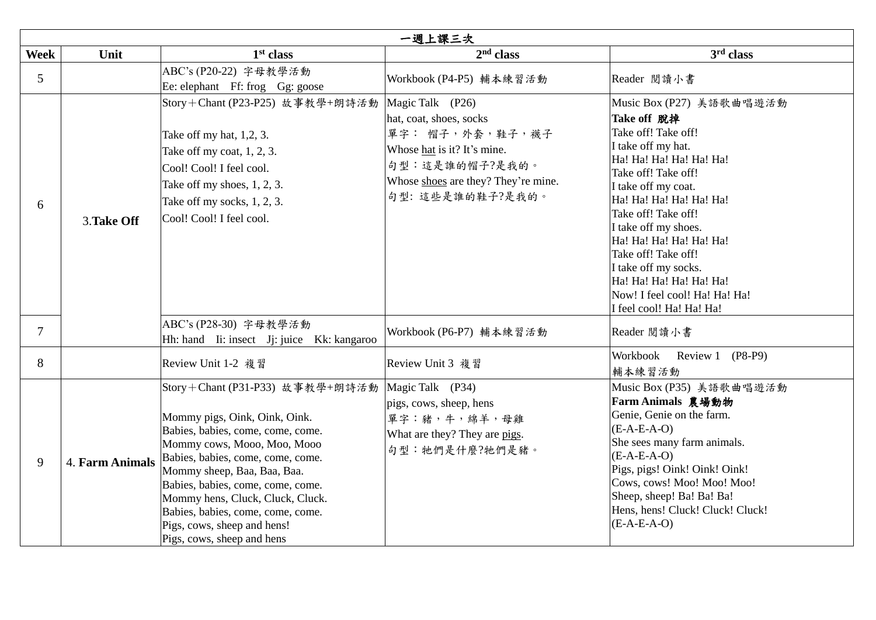|        | 一週上課三次          |                                                                                                                                                                                                                                                                                                                                                                                     |                                                                                                                                                                           |                                                                                                                                                                                                                                                                                                                                                                                                           |  |  |
|--------|-----------------|-------------------------------------------------------------------------------------------------------------------------------------------------------------------------------------------------------------------------------------------------------------------------------------------------------------------------------------------------------------------------------------|---------------------------------------------------------------------------------------------------------------------------------------------------------------------------|-----------------------------------------------------------------------------------------------------------------------------------------------------------------------------------------------------------------------------------------------------------------------------------------------------------------------------------------------------------------------------------------------------------|--|--|
| Week   | Unit            | 1 <sup>st</sup> class                                                                                                                                                                                                                                                                                                                                                               | $2nd$ class                                                                                                                                                               | 3rd class                                                                                                                                                                                                                                                                                                                                                                                                 |  |  |
| 5      |                 | ABC's (P20-22) 字母教學活動<br>Ee: elephant Ff: frog Gg: goose                                                                                                                                                                                                                                                                                                                            | Workbook (P4-P5) 輔本練習活動                                                                                                                                                   | Reader 閲讀小書                                                                                                                                                                                                                                                                                                                                                                                               |  |  |
| 6      | 3. Take Off     | Story+Chant (P23-P25) 故事教學+朗詩活動<br>Take off my hat, $1,2,3$ .<br>Take off my coat, $1, 2, 3$ .<br>Cool! Cool! I feel cool.<br>Take off my shoes, $1, 2, 3$ .<br>Take off my socks, $1, 2, 3$ .<br>Cool! Cool! I feel cool.                                                                                                                                                          | Magic Talk (P26)<br>hat, coat, shoes, socks<br>單字: 帽子,外套,鞋子,襪子<br>Whose hat is it? It's mine.<br>句型:這是誰的帽子?是我的。<br>Whose shoes are they? They're mine.<br>句型:這些是誰的鞋子?是我的。 | Music Box (P27) 美語歌曲唱遊活動<br>Take off 脫掉<br>Take off! Take off!<br>I take off my hat.<br>Ha! Ha! Ha! Ha! Ha! Ha!<br>Take off! Take off!<br>I take off my coat.<br>Ha! Ha! Ha! Ha! Ha! Ha!<br>Take off! Take off!<br>I take off my shoes.<br>Ha! Ha! Ha! Ha! Ha! Ha!<br>Take off! Take off!<br>I take off my socks.<br>Ha! Ha! Ha! Ha! Ha! Ha!<br>Now! I feel cool! Ha! Ha! Ha!<br>I feel cool! Ha! Ha! Ha! |  |  |
| $\tau$ |                 | ABC's (P28-30) 字母教學活動<br>Hh: hand Ii: insect Jj: juice Kk: kangaroo                                                                                                                                                                                                                                                                                                                 | Workbook (P6-P7) 輔本練習活動                                                                                                                                                   | Reader 閲讀小書                                                                                                                                                                                                                                                                                                                                                                                               |  |  |
| 8      |                 | Review Unit 1-2 複習                                                                                                                                                                                                                                                                                                                                                                  | Review Unit 3 複習                                                                                                                                                          | Workbook<br>Review 1 (P8-P9)<br>輔本練習活動                                                                                                                                                                                                                                                                                                                                                                    |  |  |
| 9      | 4. Farm Animals | Story+Chant (P31-P33) 故事教學+朗詩活動<br>Mommy pigs, Oink, Oink, Oink.<br>Babies, babies, come, come, come.<br>Mommy cows, Mooo, Moo, Mooo<br>Babies, babies, come, come, come.<br>Mommy sheep, Baa, Baa, Baa.<br>Babies, babies, come, come, come.<br>Mommy hens, Cluck, Cluck, Cluck.<br>Babies, babies, come, come, come.<br>Pigs, cows, sheep and hens!<br>Pigs, cows, sheep and hens | Magic Talk (P34)<br>pigs, cows, sheep, hens<br>單字:豬,牛,綿羊,母雞<br>What are they? They are pigs.<br>句型:牠們是什麼?牠們是豬。                                                            | Music Box (P35) 美語歌曲唱遊活動<br>Farm Animals 農場動物<br>Genie, Genie on the farm.<br>$(E-A-E-A-O)$<br>She sees many farm animals.<br>$(E-A-E-A-O)$<br>Pigs, pigs! Oink! Oink! Oink!<br>Cows, cows! Moo! Moo! Moo!<br>Sheep, sheep! Ba! Ba! Ba!<br>Hens, hens! Cluck! Cluck! Cluck!<br>$(E-A-E-A-O)$                                                                                                              |  |  |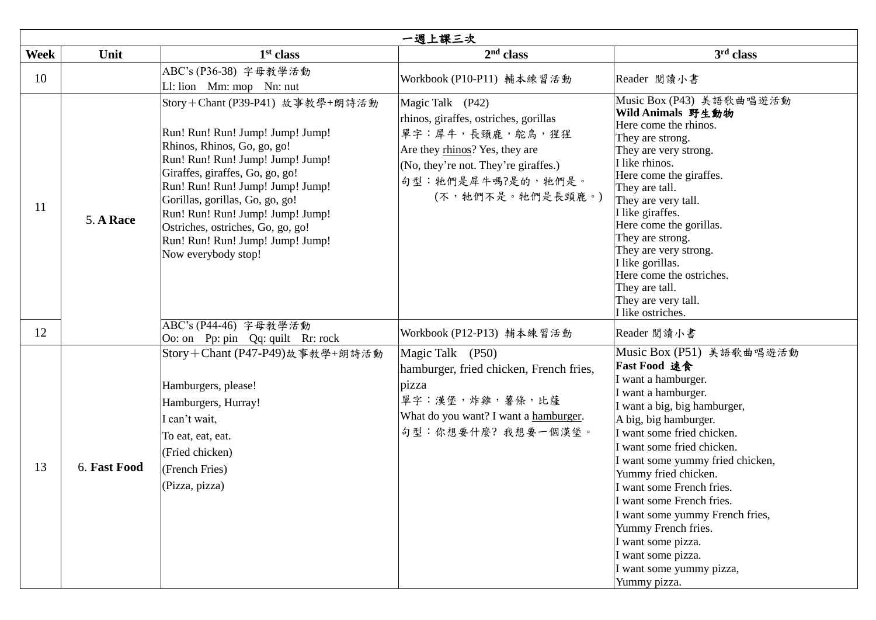|               | 一週上課三次       |                                                                                                                                                                                                                                                                                                                                                                                      |                                                                                                                                                                                                 |                                                                                                                                                                                                                                                                                                                                                                                                                                                                                            |  |
|---------------|--------------|--------------------------------------------------------------------------------------------------------------------------------------------------------------------------------------------------------------------------------------------------------------------------------------------------------------------------------------------------------------------------------------|-------------------------------------------------------------------------------------------------------------------------------------------------------------------------------------------------|--------------------------------------------------------------------------------------------------------------------------------------------------------------------------------------------------------------------------------------------------------------------------------------------------------------------------------------------------------------------------------------------------------------------------------------------------------------------------------------------|--|
| Week          | Unit         | 1 <sup>st</sup> class                                                                                                                                                                                                                                                                                                                                                                | 2 <sup>nd</sup> class                                                                                                                                                                           | 3rd class                                                                                                                                                                                                                                                                                                                                                                                                                                                                                  |  |
| 10            |              | ABC's (P36-38) 字母教學活動<br>L1: lion Mm: mop Nn: nut                                                                                                                                                                                                                                                                                                                                    | Workbook (P10-P11) 輔本練習活動                                                                                                                                                                       | Reader 閲讀小書                                                                                                                                                                                                                                                                                                                                                                                                                                                                                |  |
| <sup>11</sup> | 5. A Race    | Story+Chant (P39-P41) 故事教學+朗詩活動<br>Run! Run! Run! Jump! Jump! Jump!<br>Rhinos, Rhinos, Go, go, go!<br>Run! Run! Run! Jump! Jump! Jump!<br>Giraffes, giraffes, Go, go, go!<br>Run! Run! Run! Jump! Jump! Jump!<br>Gorillas, gorillas, Go, go, go!<br>Run! Run! Run! Jump! Jump! Jump!<br>Ostriches, ostriches, Go, go, go!<br>Run! Run! Run! Jump! Jump! Jump!<br>Now everybody stop! | Magic Talk (P42)<br>rhinos, giraffes, ostriches, gorillas<br>單字:犀牛,長頸鹿,鴕鳥,猩猩<br>Are they rhinos? Yes, they are<br>(No, they're not. They're giraffes.)<br>句型:牠們是犀牛嗎?是的,牠們是。<br>(不,牠們不是。牠們是長頸鹿。) | Music Box (P43) 美語歌曲唱遊活動<br>Wild Animals 野生動物<br>Here come the rhinos.<br>They are strong.<br>They are very strong.<br>I like rhinos.<br>Here come the giraffes.<br>They are tall.<br>They are very tall.<br>I like giraffes.<br>Here come the gorillas.<br>They are strong.<br>They are very strong.<br>I like gorillas.<br>Here come the ostriches.<br>They are tall.<br>They are very tall.<br>I like ostriches.                                                                        |  |
| 12            |              | ABC's (P44-46) 字母教學活動<br>Oo: on Pp: pin Qq: quilt Rr: rock                                                                                                                                                                                                                                                                                                                           | Workbook (P12-P13) 輔本練習活動                                                                                                                                                                       | Reader 閱讀小書                                                                                                                                                                                                                                                                                                                                                                                                                                                                                |  |
| 13            | 6. Fast Food | Story+Chant (P47-P49)故事教學+朗詩活動<br>Hamburgers, please!<br>Hamburgers, Hurray!<br>I can't wait,<br>To eat, eat, eat.<br>(Fried chicken)<br>(French Fries)<br>(Pizza, pizza)                                                                                                                                                                                                            | Magic Talk (P50)<br>hamburger, fried chicken, French fries,<br>pizza<br>單字:漢堡,炸雞,薯條,比薩<br>What do you want? I want a hamburger.<br>句型:你想要什麼?我想要一個漢堡。                                            | Music Box (P51) 美語歌曲唱遊活動<br><b>Fast Food 速食</b><br>I want a hamburger.<br>I want a hamburger.<br>I want a big, big hamburger,<br>A big, big hamburger.<br>I want some fried chicken.<br>I want some fried chicken.<br>I want some yummy fried chicken,<br>Yummy fried chicken.<br>I want some French fries.<br>I want some French fries.<br>I want some yummy French fries,<br>Yummy French fries.<br>I want some pizza.<br>I want some pizza.<br>I want some yummy pizza,<br>Yummy pizza. |  |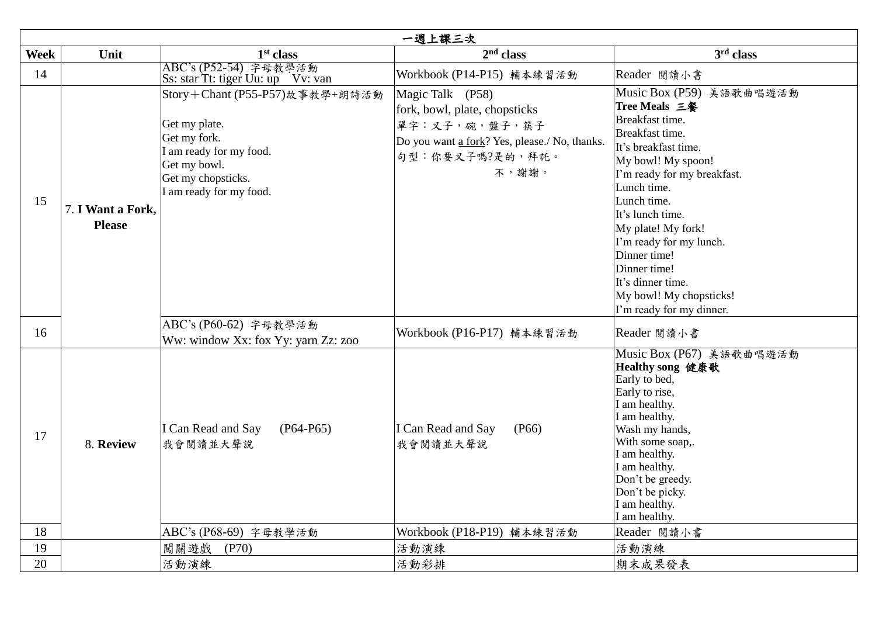|             | 一週上課三次                             |                                                                                                                                                             |                                                                                                                                                 |                                                                                                                                                                                                                                                                                                                                                                                    |  |
|-------------|------------------------------------|-------------------------------------------------------------------------------------------------------------------------------------------------------------|-------------------------------------------------------------------------------------------------------------------------------------------------|------------------------------------------------------------------------------------------------------------------------------------------------------------------------------------------------------------------------------------------------------------------------------------------------------------------------------------------------------------------------------------|--|
| <b>Week</b> | Unit                               | 1 <sup>st</sup> class                                                                                                                                       | $2nd$ class                                                                                                                                     | 3rd class                                                                                                                                                                                                                                                                                                                                                                          |  |
| 14          |                                    | ABC's (P52-54) 字母教學活動<br>Ss: star Tt: tiger Uu: up Vv: van                                                                                                  | Workbook (P14-P15) 輔本練習活動                                                                                                                       | Reader 閲讀小書                                                                                                                                                                                                                                                                                                                                                                        |  |
| 15          | 7. I Want a Fork.<br><b>Please</b> | Story+Chant (P55-P57)故事教學+朗詩活動<br>Get my plate.<br>Get my fork.<br>I am ready for my food.<br>Get my bowl.<br>Get my chopsticks.<br>I am ready for my food. | Magic Talk (P58)<br>fork, bowl, plate, chopsticks<br>單字:叉子,碗,盤子,筷子<br>Do you want a fork? Yes, please./ No, thanks.<br>句型:你要叉子嗎?是的,拜託。<br>不,謝謝。 | Music Box (P59) 美語歌曲唱遊活動<br><b>Tree Meals 三餐</b><br>Breakfast time.<br>Breakfast time.<br>It's breakfast time.<br>My bowl! My spoon!<br>I'm ready for my breakfast.<br>Lunch time.<br>Lunch time.<br>It's lunch time.<br>My plate! My fork!<br>I'm ready for my lunch.<br>Dinner time!<br>Dinner time!<br>It's dinner time.<br>My bowl! My chopsticks!<br>I'm ready for my dinner. |  |
| 16          |                                    | ABC's (P60-62) 字母教學活動<br>Ww: window Xx: fox Yy: yarn Zz: zoo                                                                                                | Workbook (P16-P17) 輔本練習活動                                                                                                                       | Reader 閱讀小書                                                                                                                                                                                                                                                                                                                                                                        |  |
| 17          | 8. Review                          | I Can Read and Say<br>$(P64-P65)$<br>我會閱讀並大聲說                                                                                                               | I Can Read and Say<br>(P66)<br>我會閱讀並大聲說                                                                                                         | Music Box (P67) 美語歌曲唱遊活動<br>Healthy song 健康歌<br>Early to bed,<br>Early to rise,<br>I am healthy.<br>I am healthy.<br>Wash my hands,<br>With some soap,.<br>I am healthy.<br>I am healthy.<br>Don't be greedy.<br>Don't be picky.<br>I am healthy.<br>I am healthy.                                                                                                                 |  |
| 18          |                                    | ABC's (P68-69) 字母教學活動                                                                                                                                       | Workbook (P18-P19) 輔本練習活動                                                                                                                       | Reader 閲讀小書                                                                                                                                                                                                                                                                                                                                                                        |  |
| 19          |                                    | 闖關遊戲<br>(P70)                                                                                                                                               | 活動演練                                                                                                                                            | 活動演練                                                                                                                                                                                                                                                                                                                                                                               |  |
| 20          |                                    | 活動演練                                                                                                                                                        | 活動彩排                                                                                                                                            | 期末成果發表                                                                                                                                                                                                                                                                                                                                                                             |  |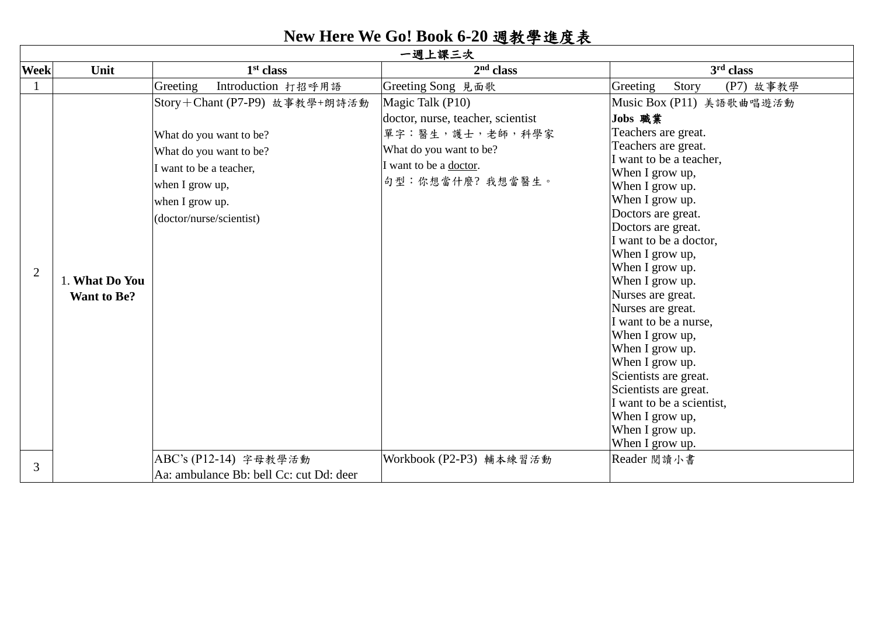## **New Here We Go! Book 6-20** 週教學進度表

 $\mathsf{T}$ 

|                | 一週上課三次                               |                                                                                                                                                                                  |                                                                                                                                                  |                                                                                                                                                                                                                                                                                                                                                                                                                                                                                                                                                                          |  |  |
|----------------|--------------------------------------|----------------------------------------------------------------------------------------------------------------------------------------------------------------------------------|--------------------------------------------------------------------------------------------------------------------------------------------------|--------------------------------------------------------------------------------------------------------------------------------------------------------------------------------------------------------------------------------------------------------------------------------------------------------------------------------------------------------------------------------------------------------------------------------------------------------------------------------------------------------------------------------------------------------------------------|--|--|
| <b>Week</b>    | Unit                                 | 1 <sup>st</sup> class                                                                                                                                                            | $2nd$ class                                                                                                                                      | 3 <sup>rd</sup> class                                                                                                                                                                                                                                                                                                                                                                                                                                                                                                                                                    |  |  |
|                |                                      | Introduction 打招呼用語<br>Greeting                                                                                                                                                   | Greeting Song 見面歌                                                                                                                                | Greeting<br>Story<br>(P7) 故事教學                                                                                                                                                                                                                                                                                                                                                                                                                                                                                                                                           |  |  |
| $\overline{2}$ | 1. What Do You<br><b>Want to Be?</b> | Story+Chant (P7-P9) 故事教學+朗詩活動<br>What do you want to be?<br>What do you want to be?<br>I want to be a teacher,<br>when I grow up,<br>when I grow up.<br>(doctor/nurse/scientist) | Magic Talk (P10)<br>doctor, nurse, teacher, scientist<br>單字:醫生,護士,老師,科學家<br>What do you want to be?<br>I want to be a doctor.<br>句型:你想當什麼?我想當醫生。 | Music Box (P11) 美語歌曲唱遊活動<br>Jobs 職業<br>Teachers are great.<br>Teachers are great.<br>I want to be a teacher,<br>When I grow up,<br>When I grow up.<br>When I grow up.<br>Doctors are great.<br>Doctors are great.<br>I want to be a doctor,<br>When I grow up,<br>When I grow up.<br>When I grow up.<br>Nurses are great.<br>Nurses are great.<br>I want to be a nurse,<br>When I grow up,<br>When I grow up.<br>When I grow up.<br>Scientists are great.<br>Scientists are great.<br>I want to be a scientist,<br>When I grow up,<br>When I grow up.<br>When I grow up. |  |  |
| 3              |                                      | ABC's (P12-14) 字母教學活動<br>Aa: ambulance Bb: bell Cc: cut Dd: deer                                                                                                                 | Workbook (P2-P3) 輔本練習活動                                                                                                                          | Reader 閱讀小書                                                                                                                                                                                                                                                                                                                                                                                                                                                                                                                                                              |  |  |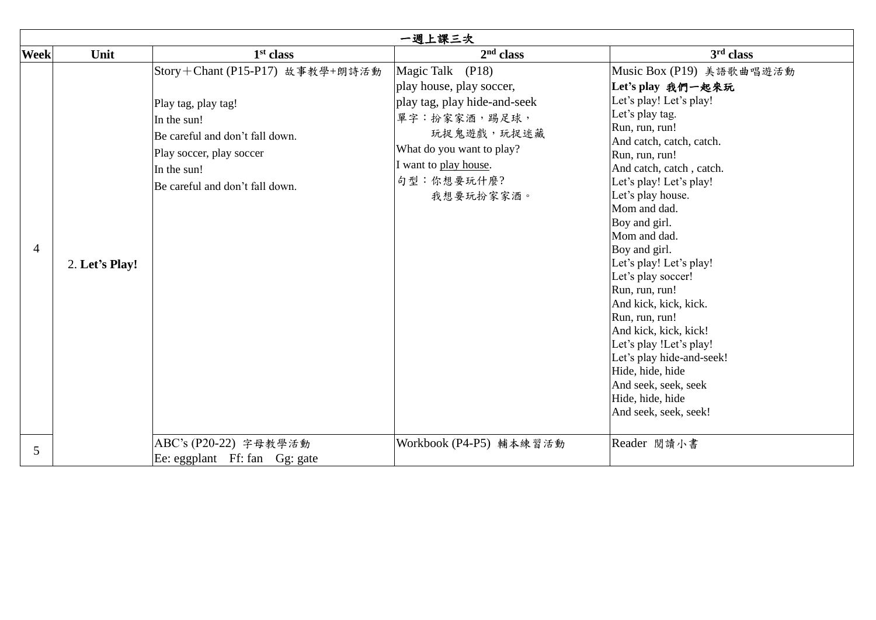|                | 一週上課三次         |                                                                                                                                                                                        |                                                                                                                                                                                             |                                                                                                                                                                                                                                                                                                                                                                                                                                                                                                                                                                                                   |  |
|----------------|----------------|----------------------------------------------------------------------------------------------------------------------------------------------------------------------------------------|---------------------------------------------------------------------------------------------------------------------------------------------------------------------------------------------|---------------------------------------------------------------------------------------------------------------------------------------------------------------------------------------------------------------------------------------------------------------------------------------------------------------------------------------------------------------------------------------------------------------------------------------------------------------------------------------------------------------------------------------------------------------------------------------------------|--|
| <b>Week</b>    | Unit           | 1 <sup>st</sup> class                                                                                                                                                                  | $2nd$ class                                                                                                                                                                                 | 3rd class                                                                                                                                                                                                                                                                                                                                                                                                                                                                                                                                                                                         |  |
| $\overline{4}$ | 2. Let's Play! | Story+Chant (P15-P17) 故事教學+朗詩活動<br>Play tag, play tag!<br>In the sun!<br>Be careful and don't fall down.<br>Play soccer, play soccer<br>In the sun!<br>Be careful and don't fall down. | Magic Talk (P18)<br>play house, play soccer,<br>play tag, play hide-and-seek<br>單字:扮家家酒,踢足球,<br>玩捉鬼遊戲,玩捉迷藏<br>What do you want to play?<br>I want to play house.<br>句型:你想要玩什麼?<br>我想要玩扮家家酒。 | Music Box (P19) 美語歌曲唱遊活動<br>Let's play 我們一起來玩<br>Let's play! Let's play!<br>Let's play tag.<br>Run, run, run!<br>And catch, catch, catch.<br>Run, run, run!<br>And catch, catch, catch.<br>Let's play! Let's play!<br>Let's play house.<br>Mom and dad.<br>Boy and girl.<br>Mom and dad.<br>Boy and girl.<br>Let's play! Let's play!<br>Let's play soccer!<br>Run, run, run!<br>And kick, kick, kick.<br>Run, run, run!<br>And kick, kick, kick!<br>Let's play !Let's play!<br>Let's play hide-and-seek!<br>Hide, hide, hide<br>And seek, seek, seek<br>Hide, hide, hide<br>And seek, seek, seek! |  |
| 5              |                | ABC's (P20-22) 字母教學活動<br>Ee: eggplant Ff: fan Gg: gate                                                                                                                                 | Workbook (P4-P5) 輔本練習活動                                                                                                                                                                     | Reader 閲讀小書                                                                                                                                                                                                                                                                                                                                                                                                                                                                                                                                                                                       |  |
|                |                |                                                                                                                                                                                        |                                                                                                                                                                                             |                                                                                                                                                                                                                                                                                                                                                                                                                                                                                                                                                                                                   |  |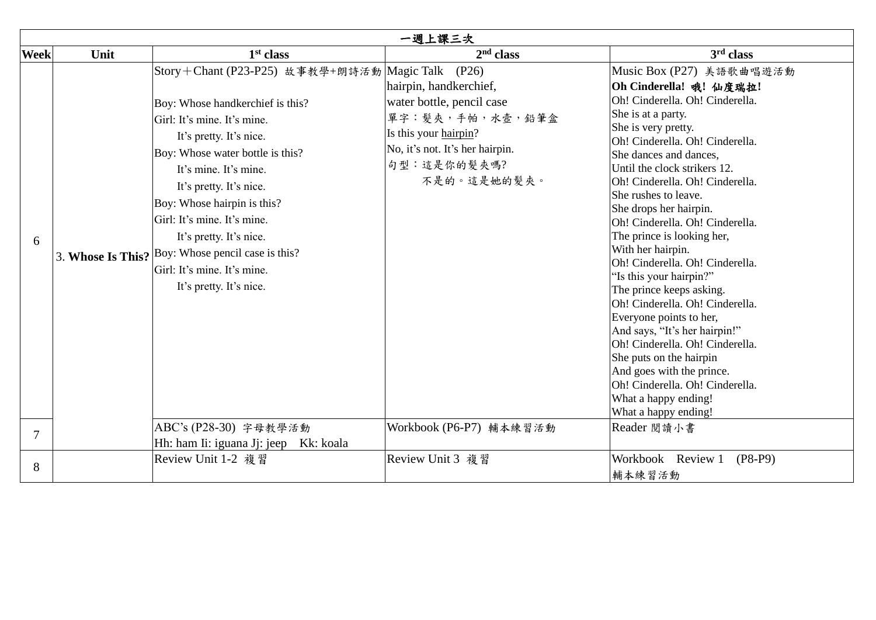|                | 一週上課三次 |                                                                                                                                                                                                                                                                                                                                                                                                                                                |                                                                                                                                                                  |                                                                                                                                                                                                                                                                                                                                                                                                                                                                                                                                                                                                                                                                                                                                                                                    |  |
|----------------|--------|------------------------------------------------------------------------------------------------------------------------------------------------------------------------------------------------------------------------------------------------------------------------------------------------------------------------------------------------------------------------------------------------------------------------------------------------|------------------------------------------------------------------------------------------------------------------------------------------------------------------|------------------------------------------------------------------------------------------------------------------------------------------------------------------------------------------------------------------------------------------------------------------------------------------------------------------------------------------------------------------------------------------------------------------------------------------------------------------------------------------------------------------------------------------------------------------------------------------------------------------------------------------------------------------------------------------------------------------------------------------------------------------------------------|--|
| <b>Week</b>    | Unit   | 1 <sup>st</sup> class                                                                                                                                                                                                                                                                                                                                                                                                                          | 2 <sup>nd</sup> class                                                                                                                                            | 3 <sup>rd</sup> class                                                                                                                                                                                                                                                                                                                                                                                                                                                                                                                                                                                                                                                                                                                                                              |  |
| 6              |        | Story+Chant (P23-P25) 故事教學+朗詩活動 Magic Talk (P26)<br>Boy: Whose handkerchief is this?<br>Girl: It's mine. It's mine.<br>It's pretty. It's nice.<br>Boy: Whose water bottle is this?<br>It's mine. It's mine.<br>It's pretty. It's nice.<br>Boy: Whose hairpin is this?<br>Girl: It's mine. It's mine.<br>It's pretty. It's nice.<br>3. Whose Is This? Boy: Whose pencil case is this?<br>Girl: It's mine. It's mine.<br>It's pretty. It's nice. | hairpin, handkerchief,<br>water bottle, pencil case<br>單字:髮夾,手帕,水壺,鉛筆盒<br>Is this your hairpin?<br>No, it's not. It's her hairpin.<br>句型:這是你的髮夾嗎?<br>不是的。這是她的髮夾。 | Music Box (P27) 美語歌曲唱遊活動<br>Oh Cinderella! 哦! 仙度瑞拉!<br>Oh! Cinderella. Oh! Cinderella.<br>She is at a party.<br>She is very pretty.<br>Oh! Cinderella. Oh! Cinderella.<br>She dances and dances,<br>Until the clock strikers 12.<br>Oh! Cinderella. Oh! Cinderella.<br>She rushes to leave.<br>She drops her hairpin.<br>Oh! Cinderella. Oh! Cinderella.<br>The prince is looking her,<br>With her hairpin.<br>Oh! Cinderella. Oh! Cinderella.<br>"Is this your hairpin?"<br>The prince keeps asking.<br>Oh! Cinderella. Oh! Cinderella.<br>Everyone points to her,<br>And says, "It's her hairpin!"<br>Oh! Cinderella. Oh! Cinderella.<br>She puts on the hairpin<br>And goes with the prince.<br>Oh! Cinderella. Oh! Cinderella.<br>What a happy ending!<br>What a happy ending! |  |
| $\overline{7}$ |        | ABC's (P28-30) 字母教學活動<br>Hh: ham Ii: iguana Jj: jeep<br>Kk: koala                                                                                                                                                                                                                                                                                                                                                                              | Workbook (P6-P7) 輔本練習活動                                                                                                                                          | Reader 閲讀小書                                                                                                                                                                                                                                                                                                                                                                                                                                                                                                                                                                                                                                                                                                                                                                        |  |
| 8              |        | Review Unit 1-2 複習                                                                                                                                                                                                                                                                                                                                                                                                                             | Review Unit 3 複習                                                                                                                                                 | Workbook Review 1<br>$(P8-P9)$<br>輔本練習活動                                                                                                                                                                                                                                                                                                                                                                                                                                                                                                                                                                                                                                                                                                                                           |  |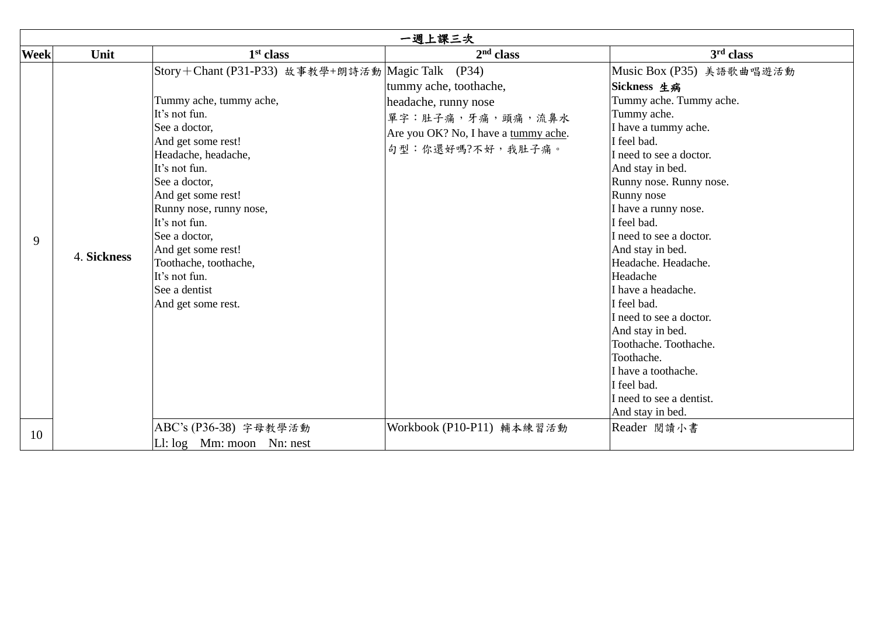|             | 一週上課三次      |                                                                                                                                                                                                                                                                                                                                                                                        |                                                                                                                                |                                                                                                                                                                                                                                                                                                                                                                                                                                                                                                                                                            |  |
|-------------|-------------|----------------------------------------------------------------------------------------------------------------------------------------------------------------------------------------------------------------------------------------------------------------------------------------------------------------------------------------------------------------------------------------|--------------------------------------------------------------------------------------------------------------------------------|------------------------------------------------------------------------------------------------------------------------------------------------------------------------------------------------------------------------------------------------------------------------------------------------------------------------------------------------------------------------------------------------------------------------------------------------------------------------------------------------------------------------------------------------------------|--|
| <b>Week</b> | Unit        | 1 <sup>st</sup> class                                                                                                                                                                                                                                                                                                                                                                  | 2 <sup>nd</sup> class                                                                                                          | 3rd class                                                                                                                                                                                                                                                                                                                                                                                                                                                                                                                                                  |  |
| 9           | 4. Sickness | Story+Chant (P31-P33) 故事教學+朗詩活動 Magic Talk (P34)<br>Tummy ache, tummy ache,<br>It's not fun.<br>See a doctor,<br>And get some rest!<br>Headache, headache,<br>It's not fun.<br>See a doctor,<br>And get some rest!<br>Runny nose, runny nose,<br>It's not fun.<br>See a doctor,<br>And get some rest!<br>Toothache, toothache,<br>It's not fun.<br>See a dentist<br>And get some rest. | tummy ache, toothache,<br>headache, runny nose<br>單字:肚子痛,牙痛,頭痛,流鼻水<br>Are you OK? No, I have a tummy ache.<br>句型:你還好嗎?不好,我肚子痛。 | Music Box (P35) 美語歌曲唱遊活動<br>Sickness 生病<br>Tummy ache. Tummy ache.<br>Tummy ache.<br>I have a tummy ache.<br>I feel bad.<br>I need to see a doctor.<br>And stay in bed.<br>Runny nose. Runny nose.<br>Runny nose<br>I have a runny nose.<br>I feel bad.<br>I need to see a doctor.<br>And stay in bed.<br>Headache. Headache.<br>Headache<br>I have a headache.<br>I feel bad.<br>I need to see a doctor.<br>And stay in bed.<br>Toothache. Toothache.<br>Toothache.<br>I have a toothache.<br>I feel bad.<br>I need to see a dentist.<br>And stay in bed. |  |
| 10          |             | ABC's (P36-38) 字母教學活動<br>$LL: log$ Mm: moon Nn: nest                                                                                                                                                                                                                                                                                                                                   | Workbook (P10-P11) 輔本練習活動                                                                                                      | Reader 閲讀小書                                                                                                                                                                                                                                                                                                                                                                                                                                                                                                                                                |  |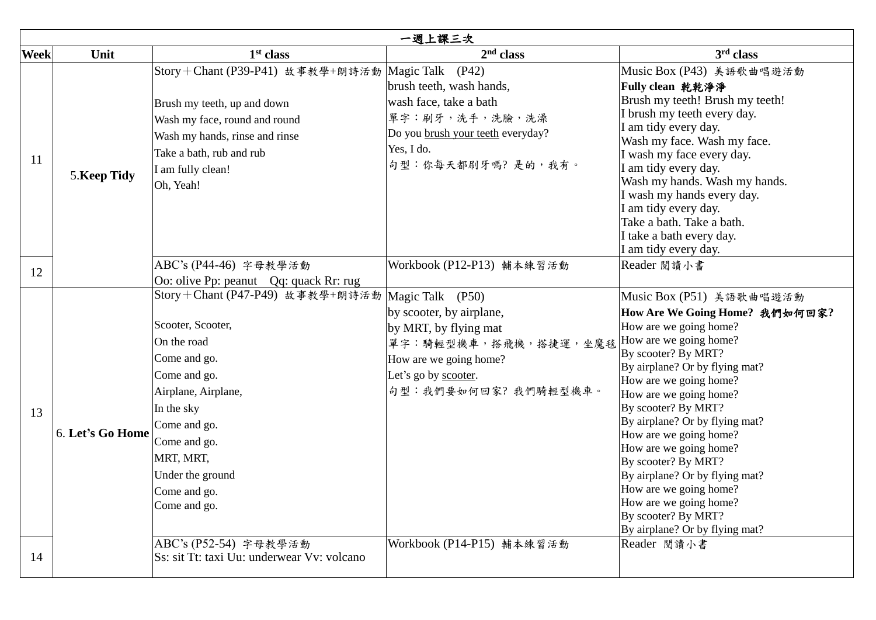| 一週上課三次      |                  |                                                                                                                                                                                                                                                                                      |                                                                                                                                                                                 |                                                                                                                                                                                                                                                                                                                                                                                                                                                                                                                               |  |  |  |
|-------------|------------------|--------------------------------------------------------------------------------------------------------------------------------------------------------------------------------------------------------------------------------------------------------------------------------------|---------------------------------------------------------------------------------------------------------------------------------------------------------------------------------|-------------------------------------------------------------------------------------------------------------------------------------------------------------------------------------------------------------------------------------------------------------------------------------------------------------------------------------------------------------------------------------------------------------------------------------------------------------------------------------------------------------------------------|--|--|--|
| <b>Week</b> | Unit             | 1 <sup>st</sup> class                                                                                                                                                                                                                                                                | $2nd$ class                                                                                                                                                                     | 3 <sup>rd</sup> class                                                                                                                                                                                                                                                                                                                                                                                                                                                                                                         |  |  |  |
| 11          | 5. Keep Tidy     | Story+Chant (P39-P41) 故事教學+朗詩活動  Magic Talk (P42)<br>Brush my teeth, up and down<br>Wash my face, round and round<br>Wash my hands, rinse and rinse<br>Take a bath, rub and rub<br>I am fully clean!<br>Oh, Yeah!                                                                    | brush teeth, wash hands,<br>wash face, take a bath<br>單字:刷牙,洗手,洗臉,洗澡<br>Do you brush your teeth everyday?<br>Yes, I do.<br>句型:你每天都刷牙嗎?是的,我有。                                    | Music Box (P43) 美語歌曲唱遊活動<br>Fully clean 乾乾淨淨<br>Brush my teeth! Brush my teeth!<br>I brush my teeth every day.<br>I am tidy every day.<br>Wash my face. Wash my face.<br>I wash my face every day.<br>I am tidy every day.<br>Wash my hands. Wash my hands.<br>I wash my hands every day.<br>I am tidy every day.<br>Take a bath. Take a bath.<br>I take a bath every day.<br>I am tidy every day.                                                                                                                            |  |  |  |
| 12          |                  | ABC's (P44-46) 字母教學活動<br>Oo: olive Pp: peanut Qq: quack Rr: rug                                                                                                                                                                                                                      | Workbook (P12-P13) 輔本練習活動                                                                                                                                                       | Reader 閲讀小書                                                                                                                                                                                                                                                                                                                                                                                                                                                                                                                   |  |  |  |
| 13          | 6. Let's Go Home | Story+Chant (P47-P49) 故事教學+朗詩活動  Magic Talk (P50)<br>Scooter, Scooter,<br>On the road<br>Come and go.<br>Come and go.<br>Airplane, Airplane,<br>In the sky<br>Come and go.<br>Come and go.<br>MRT, MRT,<br>Under the ground<br>Come and go.<br>Come and go.<br>ABC's (P52-54) 字母教學活動 | by scooter, by airplane,<br>by MRT, by flying mat<br>單字:騎輕型機車,搭飛機,搭捷運,坐魔毯<br>How are we going home?<br>Let's go by scooter.<br>句型:我們要如何回家?我們騎輕型機車。<br>Workbook (P14-P15) 輔本練習活動 | Music Box (P51) 美語歌曲唱遊活動<br>How Are We Going Home? 我們如何回家?<br>How are we going home?<br>How are we going home?<br>By scooter? By MRT?<br>By airplane? Or by flying mat?<br>How are we going home?<br>How are we going home?<br>By scooter? By MRT?<br>By airplane? Or by flying mat?<br>How are we going home?<br>How are we going home?<br>By scooter? By MRT?<br>By airplane? Or by flying mat?<br>How are we going home?<br>How are we going home?<br>By scooter? By MRT?<br>By airplane? Or by flying mat?<br>Reader 閲讀小書 |  |  |  |
| 14          |                  | Ss: sit Tt: taxi Uu: underwear Vv: volcano                                                                                                                                                                                                                                           |                                                                                                                                                                                 |                                                                                                                                                                                                                                                                                                                                                                                                                                                                                                                               |  |  |  |